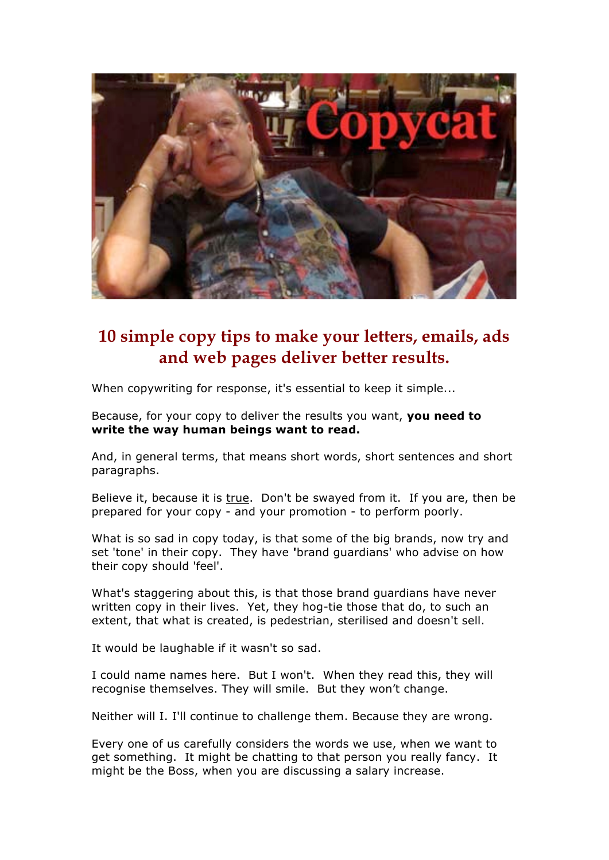

# **10 simple copy tips to make your letters, emails, ads and web pages deliver better results.**

When copywriting for response, it's essential to keep it simple...

Because, for your copy to deliver the results you want, **you need to write the way human beings want to read.** 

And, in general terms, that means short words, short sentences and short paragraphs.

Believe it, because it is true. Don't be swayed from it. If you are, then be prepared for your copy - and your promotion - to perform poorly.

What is so sad in copy today, is that some of the big brands, now try and set 'tone' in their copy. They have **'**brand guardians' who advise on how their copy should 'feel'.

What's staggering about this, is that those brand guardians have never written copy in their lives. Yet, they hog-tie those that do, to such an extent, that what is created, is pedestrian, sterilised and doesn't sell.

It would be laughable if it wasn't so sad.

I could name names here. But I won't. When they read this, they will recognise themselves. They will smile. But they won't change.

Neither will I. I'll continue to challenge them. Because they are wrong.

Every one of us carefully considers the words we use, when we want to get something. It might be chatting to that person you really fancy. It might be the Boss, when you are discussing a salary increase.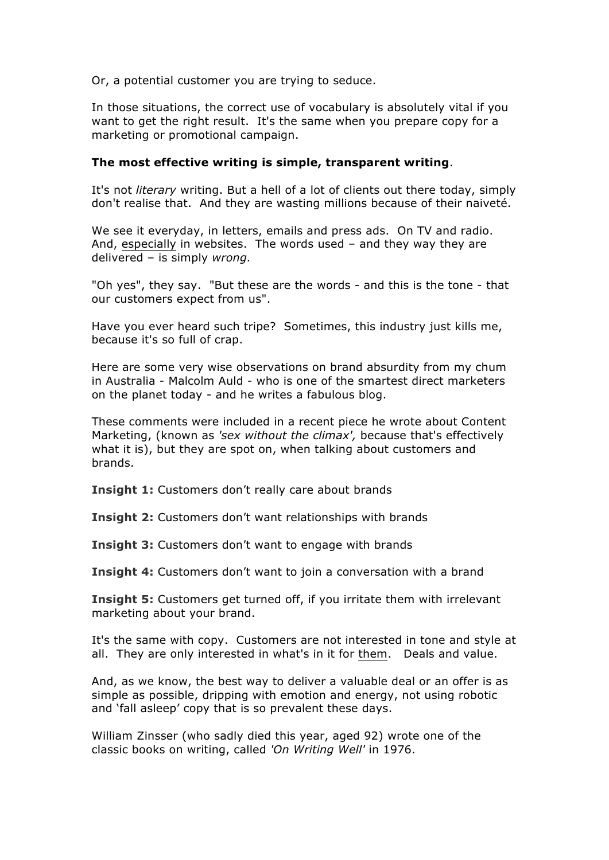Or, a potential customer you are trying to seduce.

In those situations, the correct use of vocabulary is absolutely vital if you want to get the right result. It's the same when you prepare copy for a marketing or promotional campaign.

#### **The most effective writing is simple, transparent writing**.

It's not *literary* writing. But a hell of a lot of clients out there today, simply don't realise that. And they are wasting millions because of their naiveté.

We see it everyday, in letters, emails and press ads. On TV and radio. And, especially in websites. The words used  $-$  and they way they are delivered – is simply *wrong.*

"Oh yes", they say. "But these are the words - and this is the tone - that our customers expect from us".

Have you ever heard such tripe? Sometimes, this industry just kills me, because it's so full of crap.

Here are some very wise observations on brand absurdity from my chum in Australia - Malcolm Auld - who is one of the smartest direct marketers on the planet today - and he writes a fabulous blog.

These comments were included in a recent piece he wrote about Content Marketing, (known as *'sex without the climax',* because that's effectively what it is), but they are spot on, when talking about customers and brands.

**Insight 1:** Customers don't really care about brands

**Insight 2:** Customers don't want relationships with brands

**Insight 3:** Customers don't want to engage with brands

**Insight 4:** Customers don't want to join a conversation with a brand

**Insight 5:** Customers get turned off, if you irritate them with irrelevant marketing about your brand.

It's the same with copy. Customers are not interested in tone and style at all. They are only interested in what's in it for them. Deals and value.

And, as we know, the best way to deliver a valuable deal or an offer is as simple as possible, dripping with emotion and energy, not using robotic and 'fall asleep' copy that is so prevalent these days.

William Zinsser (who sadly died this year, aged 92) wrote one of the classic books on writing, called *'On Writing Well'* in 1976.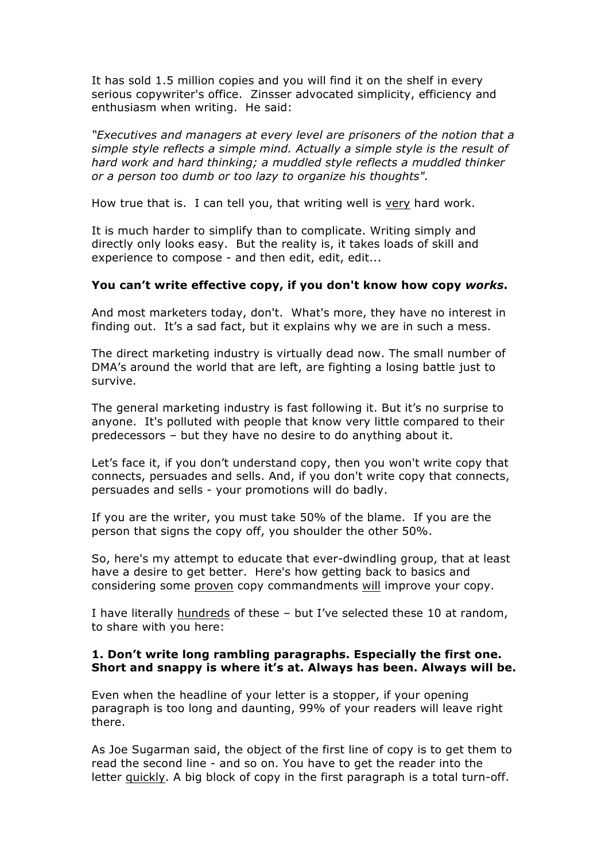It has sold 1.5 million copies and you will find it on the shelf in every serious copywriter's office. Zinsser advocated simplicity, efficiency and enthusiasm when writing. He said:

*"Executives and managers at every level are prisoners of the notion that a simple style reflects a simple mind. Actually a simple style is the result of hard work and hard thinking; a muddled style reflects a muddled thinker or a person too dumb or too lazy to organize his thoughts".*

How true that is. I can tell you, that writing well is very hard work.

It is much harder to simplify than to complicate. Writing simply and directly only looks easy. But the reality is, it takes loads of skill and experience to compose - and then edit, edit, edit...

#### **You can't write effective copy, if you don't know how copy** *works***.**

And most marketers today, don't. What's more, they have no interest in finding out. It's a sad fact, but it explains why we are in such a mess.

The direct marketing industry is virtually dead now. The small number of DMA's around the world that are left, are fighting a losing battle just to survive.

The general marketing industry is fast following it. But it's no surprise to anyone. It's polluted with people that know very little compared to their predecessors – but they have no desire to do anything about it.

Let's face it, if you don't understand copy, then you won't write copy that connects, persuades and sells. And, if you don't write copy that connects, persuades and sells - your promotions will do badly.

If you are the writer, you must take 50% of the blame. If you are the person that signs the copy off, you shoulder the other 50%.

So, here's my attempt to educate that ever-dwindling group, that at least have a desire to get better. Here's how getting back to basics and considering some proven copy commandments will improve your copy.

I have literally hundreds of these - but I've selected these 10 at random, to share with you here:

#### **1. Don't write long rambling paragraphs. Especially the first one. Short and snappy is where it's at. Always has been. Always will be.**

Even when the headline of your letter is a stopper, if your opening paragraph is too long and daunting, 99% of your readers will leave right there.

As Joe Sugarman said, the object of the first line of copy is to get them to read the second line - and so on. You have to get the reader into the letter quickly. A big block of copy in the first paragraph is a total turn-off.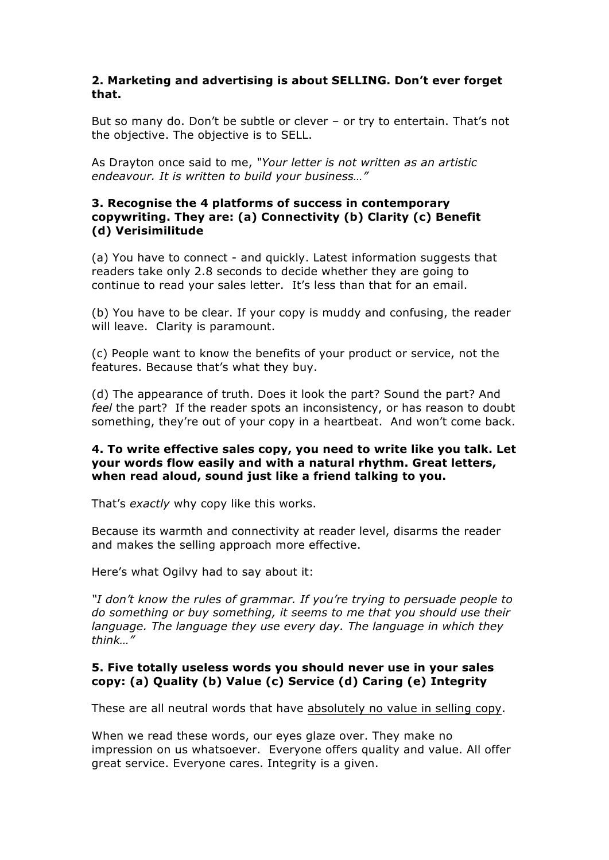## **2. Marketing and advertising is about SELLING. Don't ever forget that.**

But so many do. Don't be subtle or clever – or try to entertain. That's not the objective. The objective is to SELL.

As Drayton once said to me, *"Your letter is not written as an artistic endeavour. It is written to build your business…"*

## **3. Recognise the 4 platforms of success in contemporary copywriting. They are: (a) Connectivity (b) Clarity (c) Benefit (d) Verisimilitude**

(a) You have to connect - and quickly. Latest information suggests that readers take only 2.8 seconds to decide whether they are going to continue to read your sales letter. It's less than that for an email.

(b) You have to be clear. If your copy is muddy and confusing, the reader will leave. Clarity is paramount.

(c) People want to know the benefits of your product or service, not the features. Because that's what they buy.

(d) The appearance of truth. Does it look the part? Sound the part? And *feel* the part? If the reader spots an inconsistency, or has reason to doubt something, they're out of your copy in a heartbeat. And won't come back.

## **4. To write effective sales copy, you need to write like you talk. Let your words flow easily and with a natural rhythm. Great letters, when read aloud, sound just like a friend talking to you.**

That's *exactly* why copy like this works.

Because its warmth and connectivity at reader level, disarms the reader and makes the selling approach more effective.

Here's what Ogilvy had to say about it:

*"I don't know the rules of grammar. If you're trying to persuade people to do something or buy something, it seems to me that you should use their language. The language they use every day. The language in which they think…"* 

## **5. Five totally useless words you should never use in your sales copy: (a) Quality (b) Value (c) Service (d) Caring (e) Integrity**

These are all neutral words that have absolutely no value in selling copy.

When we read these words, our eyes glaze over. They make no impression on us whatsoever. Everyone offers quality and value. All offer great service. Everyone cares. Integrity is a given.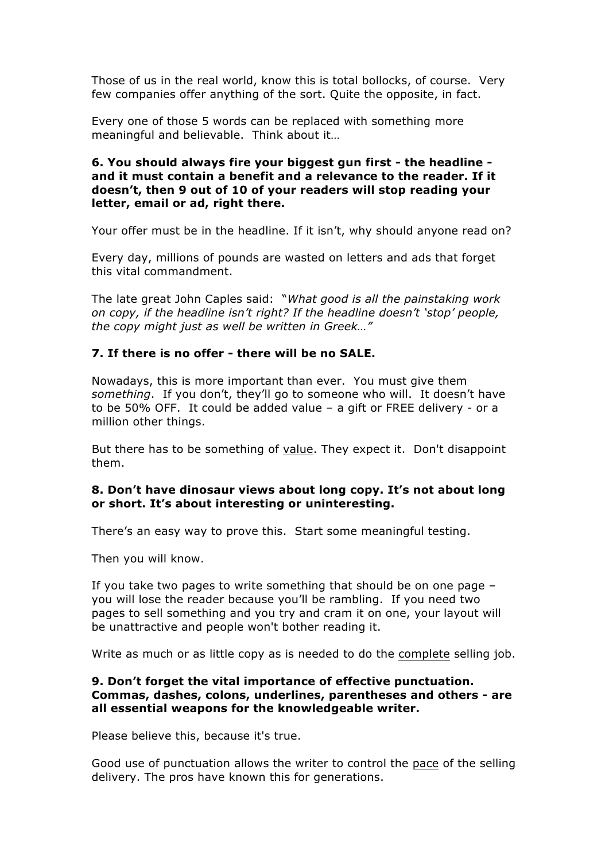Those of us in the real world, know this is total bollocks, of course. Very few companies offer anything of the sort. Quite the opposite, in fact.

Every one of those 5 words can be replaced with something more meaningful and believable. Think about it…

## **6. You should always fire your biggest gun first - the headline and it must contain a benefit and a relevance to the reader. If it doesn't, then 9 out of 10 of your readers will stop reading your letter, email or ad, right there.**

Your offer must be in the headline. If it isn't, why should anyone read on?

Every day, millions of pounds are wasted on letters and ads that forget this vital commandment.

The late great John Caples said: "*What good is all the painstaking work on copy, if the headline isn't right? If the headline doesn't 'stop' people, the copy might just as well be written in Greek…"*

## **7. If there is no offer - there will be no SALE.**

Nowadays, this is more important than ever. You must give them *something*. If you don't, they'll go to someone who will. It doesn't have to be 50% OFF. It could be added value – a gift or FREE delivery - or a million other things.

But there has to be something of value. They expect it. Don't disappoint them.

#### **8. Don't have dinosaur views about long copy. It's not about long or short. It's about interesting or uninteresting.**

There's an easy way to prove this. Start some meaningful testing.

Then you will know.

If you take two pages to write something that should be on one page – you will lose the reader because you'll be rambling. If you need two pages to sell something and you try and cram it on one, your layout will be unattractive and people won't bother reading it.

Write as much or as little copy as is needed to do the complete selling job.

#### **9. Don't forget the vital importance of effective punctuation. Commas, dashes, colons, underlines, parentheses and others - are all essential weapons for the knowledgeable writer.**

Please believe this, because it's true.

Good use of punctuation allows the writer to control the pace of the selling delivery. The pros have known this for generations.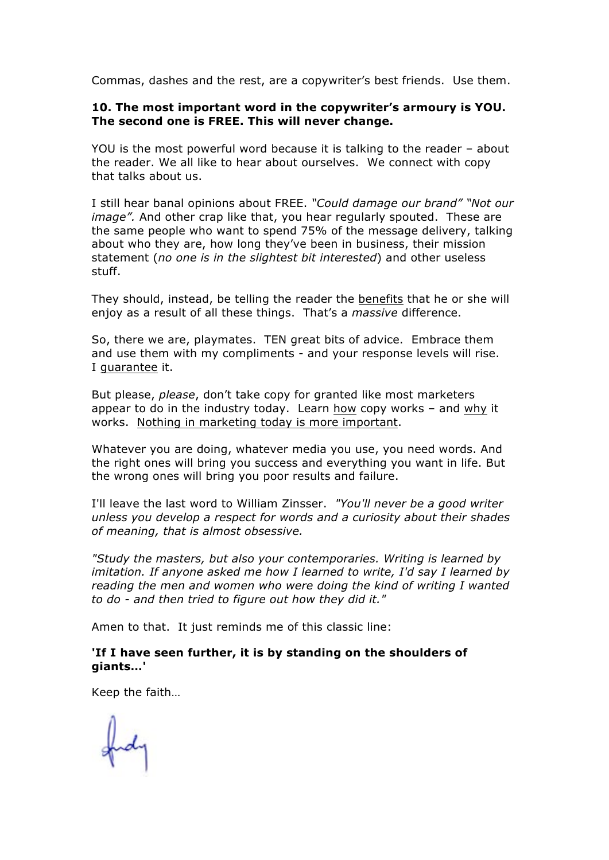Commas, dashes and the rest, are a copywriter's best friends. Use them.

#### **10. The most important word in the copywriter's armoury is YOU. The second one is FREE. This will never change.**

YOU is the most powerful word because it is talking to the reader – about the reader. We all like to hear about ourselves. We connect with copy that talks about us.

I still hear banal opinions about FREE. *"Could damage our brand" "Not our image".* And other crap like that, you hear regularly spouted. These are the same people who want to spend 75% of the message delivery, talking about who they are, how long they've been in business, their mission statement (*no one is in the slightest bit interested*) and other useless stuff.

They should, instead, be telling the reader the benefits that he or she will enjoy as a result of all these things. That's a *massive* difference.

So, there we are, playmates. TEN great bits of advice. Embrace them and use them with my compliments - and your response levels will rise. I guarantee it.

But please, *please*, don't take copy for granted like most marketers appear to do in the industry today. Learn how copy works – and why it works. Nothing in marketing today is more important.

Whatever you are doing, whatever media you use, you need words. And the right ones will bring you success and everything you want in life. But the wrong ones will bring you poor results and failure.

I'll leave the last word to William Zinsser. *"You'll never be a good writer unless you develop a respect for words and a curiosity about their shades of meaning, that is almost obsessive.* 

*"Study the masters, but also your contemporaries. Writing is learned by imitation. If anyone asked me how I learned to write, I'd say I learned by reading the men and women who were doing the kind of writing I wanted to do - and then tried to figure out how they did it."*

Amen to that. It just reminds me of this classic line:

## **'If I have seen further, it is by standing on the shoulders of giants…'**

Keep the faith…